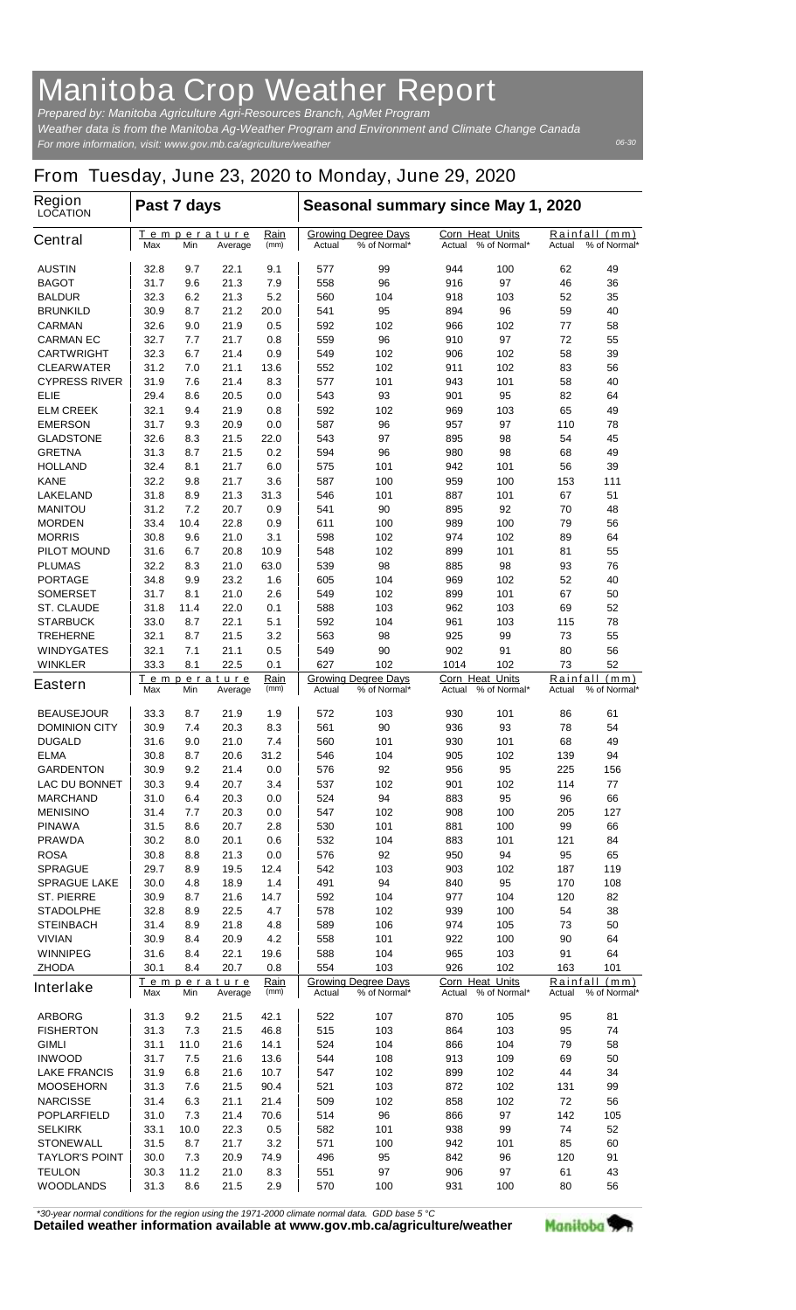## **Manitoba Crop Weather Report**

*For more information, visit: www.gov.mb.ca/agriculture/weather Prepared by: Manitoba Agriculture Agri-Resources Branch, AgMet Program Weather data is from the Manitoba Ag-Weather Program and Environment and Climate Change Canada*

*06-30*

## **From Tuesday, June 23, 2020 to Monday, June 29, 2020**

| Region<br><b>LOCATION</b>                 | Past 7 days                                                  |            |                                                      |                                                      | Seasonal summary since May 1, 2020                   |                                                  |                                                  |                                            |                                            |           |
|-------------------------------------------|--------------------------------------------------------------|------------|------------------------------------------------------|------------------------------------------------------|------------------------------------------------------|--------------------------------------------------|--------------------------------------------------|--------------------------------------------|--------------------------------------------|-----------|
| <b>Central</b>                            | Max                                                          | Min        | <u>Temperature</u><br>Average                        | <u>Rain</u><br>(mm)                                  | <b>Growing Degree Days</b><br>Actual<br>% of Normal* |                                                  | <b>Corn Heat Units</b><br>% of Normal*<br>Actual |                                            | Rainfall<br>(mm)<br>% of Normal*<br>Actual |           |
| <b>AUSTIN</b>                             | 32.8                                                         | 9.7        | 22.1                                                 | 9.1                                                  | 577                                                  | 99                                               | 944                                              | 100                                        | 62                                         | 49        |
| <b>BAGOT</b>                              | 31.7                                                         | 9.6        | 21.3                                                 | 7.9                                                  | 558                                                  | 96                                               | 916                                              | 97                                         | 46                                         | 36        |
| <b>BALDUR</b>                             | 32.3                                                         | 6.2        | 21.3                                                 | 5.2                                                  | 560                                                  | 104                                              | 918                                              | 103                                        | 52                                         | 35        |
| <b>BRUNKILD</b>                           | 30.9                                                         | 8.7        | 21.2                                                 | 20.0                                                 | 541                                                  | 95                                               | 894                                              | 96                                         | 59                                         | 40        |
| <b>CARMAN</b>                             | 32.6                                                         | 9.0        | 21.9                                                 | 0.5                                                  | 592                                                  | 102                                              | 966                                              | 102                                        | 77                                         | 58        |
| <b>CARMAN EC</b>                          | 32.7<br>32.3                                                 | 7.7<br>6.7 | 21.7                                                 | 0.8                                                  | 559                                                  | 96                                               | 910                                              | 97                                         | 72<br>58                                   | 55<br>39  |
| <b>CARTWRIGHT</b><br><b>CLEARWATER</b>    | 31.2                                                         | 7.0        | 21.4<br>21.1                                         | 0.9<br>13.6                                          | 549<br>552                                           | 102<br>102                                       | 906<br>911                                       | 102<br>102                                 | 83                                         | 56        |
| <b>CYPRESS RIVER</b>                      | 31.9                                                         | 7.6        | 21.4                                                 | 8.3                                                  | 577                                                  | 101                                              | 943                                              | 101                                        | 58                                         | 40        |
| ELIE                                      | 29.4                                                         | 8.6        | 20.5                                                 | 0.0                                                  | 543                                                  | 93                                               | 901                                              | 95                                         | 82                                         | 64        |
| <b>ELM CREEK</b>                          | 32.1                                                         | 9.4        | 21.9                                                 | 0.8                                                  | 592                                                  | 102                                              | 969                                              | 103                                        | 65                                         | 49        |
| <b>EMERSON</b>                            | 31.7                                                         | 9.3        | 20.9                                                 | 0.0                                                  | 587                                                  | 96                                               | 957                                              | 97                                         | 110                                        | 78        |
| <b>GLADSTONE</b>                          | 32.6                                                         | 8.3        | 21.5                                                 | 22.0                                                 | 543                                                  | 97                                               | 895                                              | 98                                         | 54                                         | 45        |
| <b>GRETNA</b>                             | 31.3                                                         | 8.7        | 21.5                                                 | 0.2                                                  | 594                                                  | 96                                               | 980                                              | 98                                         | 68                                         | 49        |
| <b>HOLLAND</b>                            | 32.4                                                         | 8.1        | 21.7                                                 | 6.0                                                  | 575                                                  | 101                                              | 942                                              | 101                                        | 56                                         | 39        |
| <b>KANE</b>                               | 32.2                                                         | 9.8        | 21.7                                                 | 3.6<br>31.3                                          | 587                                                  | 100                                              | 959                                              | 100                                        | 153                                        | 111<br>51 |
| <b>LAKELAND</b><br><b>MANITOU</b>         | 31.8<br>31.2                                                 | 8.9<br>7.2 | 21.3<br>20.7                                         | 0.9                                                  | 546<br>541                                           | 101<br>90                                        | 887<br>895                                       | 101<br>92                                  | 67<br>70                                   | 48        |
| <b>MORDEN</b>                             | 33.4                                                         | 10.4       | 22.8                                                 | 0.9                                                  | 611                                                  | 100                                              | 989                                              | 100                                        | 79                                         | 56        |
| <b>MORRIS</b>                             | 30.8                                                         | 9.6        | 21.0                                                 | 3.1                                                  | 598                                                  | 102                                              | 974                                              | 102                                        | 89                                         | 64        |
| <b>PILOT MOUND</b>                        | 31.6                                                         | 6.7        | 20.8                                                 | 10.9                                                 | 548                                                  | 102                                              | 899                                              | 101                                        | 81                                         | 55        |
| <b>PLUMAS</b>                             | 32.2                                                         | 8.3        | 21.0                                                 | 63.0                                                 | 539                                                  | 98                                               | 885                                              | 98                                         | 93                                         | 76        |
| <b>PORTAGE</b>                            | 34.8                                                         | 9.9        | 23.2                                                 | 1.6                                                  | 605                                                  | 104                                              | 969                                              | 102                                        | 52                                         | 40        |
| <b>SOMERSET</b>                           | 31.7                                                         | 8.1        | 21.0                                                 | 2.6                                                  | 549                                                  | 102                                              | 899                                              | 101                                        | 67                                         | 50        |
| <b>ST. CLAUDE</b>                         | 31.8                                                         | 11.4       | 22.0                                                 | 0.1                                                  | 588                                                  | 103                                              | 962                                              | 103                                        | 69                                         | 52        |
| <b>STARBUCK</b>                           | 33.0                                                         | 8.7        | 22.1                                                 | 5.1                                                  | 592                                                  | 104                                              | 961                                              | 103                                        | 115                                        | 78        |
| <b>TREHERNE</b>                           | 32.1                                                         | 8.7<br>7.1 | 21.5                                                 | 3.2<br>0.5                                           | 563                                                  | 98                                               | 925<br>902                                       | 99                                         | 73                                         | 55        |
| <b>WINDYGATES</b><br><b>WINKLER</b>       | 32.1<br>33.3                                                 | 8.1        | 21.1<br>22.5                                         | 0.1                                                  | 549<br>627                                           | 90<br>102                                        | 1014                                             | 91<br>102                                  | 80<br>73                                   | 56<br>52  |
| <b>Eastern</b>                            | Rain<br><u>Temperature</u><br>Max<br>Min<br>Average<br>(mm)  |            |                                                      | <b>Growing Degree Days</b><br>Actual<br>% of Normal* |                                                      | <b>Corn Heat Units</b><br>% of Normal*<br>Actual |                                                  | Rainfall<br>(mm)<br>% of Normal*<br>Actual |                                            |           |
| <b>BEAUSEJOUR</b>                         | 33.3                                                         | 8.7        | 21.9                                                 | 1.9                                                  | 572                                                  | 103                                              | 930                                              | 101                                        | 86                                         | 61        |
| <b>DOMINION CITY</b>                      | 30.9                                                         | 7.4        | 20.3                                                 | 8.3                                                  | 561                                                  | 90                                               | 936                                              | 93                                         | 78                                         | 54        |
| <b>DUGALD</b>                             | 31.6                                                         | 9.0        | 21.0                                                 | 7.4                                                  | 560                                                  | 101                                              | 930                                              | 101                                        | 68                                         | 49        |
| <b>ELMA</b>                               | 30.8                                                         | 8.7        | 20.6                                                 | 31.2                                                 | 546                                                  | 104                                              | 905                                              | 102                                        | 139                                        | 94        |
| <b>GARDENTON</b>                          | 30.9                                                         | 9.2        | 21.4                                                 | 0.0                                                  | 576                                                  | 92                                               | 956                                              | 95                                         | 225                                        | 156       |
| <b>LAC DU BONNET</b>                      | 30.3                                                         | 9.4        | 20.7                                                 | 3.4                                                  | 537                                                  | 102                                              | 901                                              | 102                                        | 114                                        | 77        |
| <b>MARCHAND</b>                           | 31.0                                                         | 6.4        | 20.3                                                 | 0.0                                                  | 524                                                  | 94                                               | 883                                              | 95                                         | 96                                         | 66        |
| <b>MENISINO</b><br><b>PINAWA</b>          | 31.4<br>31.5                                                 | 7.7<br>8.6 | 20.3<br>20.7                                         | 0.0<br>2.8                                           | 547<br>530                                           | 102<br>101                                       | 908<br>881                                       | 100<br>100                                 | 205<br>99                                  | 127<br>66 |
| <b>PRAWDA</b>                             | 30.2                                                         | 8.0        | 20.1                                                 | 0.6                                                  | 532                                                  | 104                                              | 883                                              | 101                                        | 121                                        | 84        |
| <b>ROSA</b>                               | 30.8                                                         | 8.8        | 21.3                                                 | 0.0                                                  | 576                                                  | 92                                               | 950                                              | 94                                         | 95                                         | 65        |
| <b>SPRAGUE</b>                            | 29.7                                                         | 8.9        | 19.5                                                 | 12.4                                                 | 542                                                  | 103                                              | 903                                              | 102                                        | 187                                        | 119       |
| <b>SPRAGUE LAKE</b>                       | 30.0                                                         | 4.8        | 18.9                                                 | 1.4                                                  | 491                                                  | 94                                               | 840                                              | 95                                         | 170                                        | 108       |
| <b>ST. PIERRE</b>                         | 30.9                                                         | 8.7        | 21.6                                                 | 14.7                                                 | 592                                                  | 104                                              | 977                                              | 104                                        | 120                                        | 82        |
| <b>STADOLPHE</b>                          | 32.8                                                         | 8.9        | 22.5                                                 | 4.7                                                  | 578                                                  | 102                                              | 939                                              | 100                                        | 54                                         | 38        |
| <b>STEINBACH</b>                          | 31.4                                                         | 8.9        | 21.8                                                 | 4.8                                                  | 589                                                  | 106                                              | 974                                              | 105                                        | 73                                         | 50        |
| <b>VIVIAN</b>                             | 30.9                                                         | 8.4        | 20.9                                                 | 4.2                                                  | 558                                                  | 101                                              | 922                                              | 100                                        | 90                                         | 64        |
| <b>WINNIPEG</b><br><b>ZHODA</b>           | 31.6                                                         | 8.4<br>8.4 | 22.1<br>20.7                                         | 19.6<br>0.8                                          | 588<br>554                                           | 104<br>103                                       | 965<br>926                                       | 103<br>102                                 | 91<br>163                                  | 64<br>101 |
| <b>Interlake</b>                          | 30.1<br>Temperature<br>Rain<br>(mm)<br>Min<br>Max<br>Average |            | <b>Growing Degree Days</b><br>% of Normal*<br>Actual |                                                      | Corn Heat Units<br>Actual % of Normal*               |                                                  | Rainfall<br>(mm)<br>% of Normal*<br>Actual       |                                            |                                            |           |
| <b>ARBORG</b>                             | 31.3                                                         | 9.2        | 21.5                                                 | 42.1                                                 | 522                                                  | 107                                              | 870                                              | 105                                        | 95                                         | 81        |
| <b>FISHERTON</b>                          | 31.3                                                         | 7.3        | 21.5                                                 | 46.8                                                 | 515                                                  | 103                                              | 864                                              | 103                                        | 95                                         | 74        |
| GIMLI                                     | 31.1                                                         | 11.0       | 21.6                                                 | 14.1                                                 | 524                                                  | 104                                              | 866                                              | 104                                        | 79                                         | 58        |
| <b>INWOOD</b>                             | 31.7                                                         | 7.5        | 21.6                                                 | 13.6                                                 | 544                                                  | 108                                              | 913                                              | 109                                        | 69                                         | 50        |
| <b>LAKE FRANCIS</b>                       | 31.9                                                         | 6.8        | 21.6                                                 | 10.7                                                 | 547                                                  | 102                                              | 899                                              | 102                                        | 44                                         | 34        |
| <b>MOOSEHORN</b>                          | 31.3                                                         | 7.6        | 21.5                                                 | 90.4                                                 | 521                                                  | 103                                              | 872                                              | 102                                        | 131                                        | 99        |
| <b>NARCISSE</b>                           | 31.4                                                         | 6.3        | 21.1                                                 | 21.4                                                 | 509                                                  | 102                                              | 858                                              | 102                                        | 72                                         | 56        |
| <b>POPLARFIELD</b>                        | 31.0                                                         | 7.3        | 21.4                                                 | 70.6                                                 | 514                                                  | 96                                               | 866                                              | 97                                         | 142                                        | 105       |
| <b>SELKIRK</b>                            | 33.1                                                         | 10.0       | 22.3                                                 | 0.5                                                  | 582                                                  | 101                                              | 938                                              | 99                                         | 74                                         | 52        |
| <b>STONEWALL</b><br><b>TAYLOR'S POINT</b> | 31.5<br>30.0                                                 | 8.7<br>7.3 | 21.7<br>20.9                                         | 3.2<br>74.9                                          | 571<br>496                                           | 100<br>95                                        | 942<br>842                                       | 101<br>96                                  | 85<br>120                                  | 60<br>91  |
| <b>TEULON</b>                             | 30.3                                                         | 11.2       | 21.0                                                 | 8.3                                                  | 551                                                  | 97                                               | 906                                              | 97                                         | 61                                         | 43        |
| <b>WOODLANDS</b>                          | 31.3                                                         | 8.6        | 21.5                                                 | 2.9                                                  | 570                                                  | 100                                              | 931                                              | 100                                        | 80                                         | 56        |
|                                           |                                                              |            |                                                      |                                                      |                                                      |                                                  |                                                  |                                            |                                            |           |

*\*30-year normal conditions for the region using the 1971-2000 climate normal data. GDD base 5 °C*<br>Detailed weather information available at www.gov.mb.ca/agriculture/weather